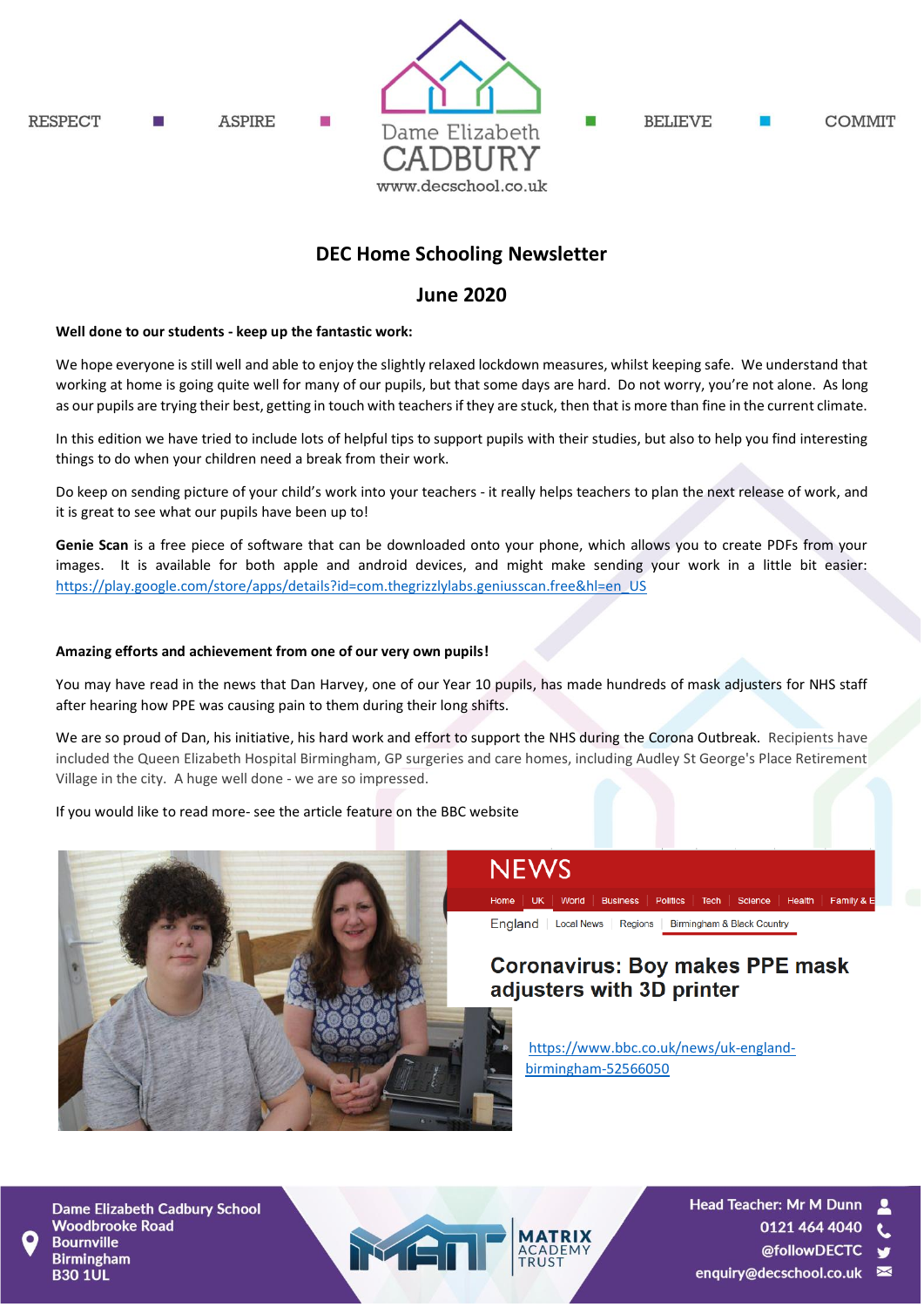

## **DEC Home Schooling Newsletter**

### **June 2020**

#### **Well done to our students - keep up the fantastic work:**

We hope everyone is still well and able to enjoy the slightly relaxed lockdown measures, whilst keeping safe. We understand that working at home is going quite well for many of our pupils, but that some days are hard. Do not worry, you're not alone. As long as our pupils are trying their best, getting in touch with teachers if they are stuck, then that is more than fine in the current climate.

In this edition we have tried to include lots of helpful tips to support pupils with their studies, but also to help you find interesting things to do when your children need a break from their work.

Do keep on sending picture of your child's work into your teachers - it really helps teachers to plan the next release of work, and it is great to see what our pupils have been up to!

**Genie Scan** is a free piece of software that can be downloaded onto your phone, which allows you to create PDFs from your images. It is available for both apple and android devices, and might make sending your work in a little bit easier: [https://play.google.com/store/apps/details?id=com.thegrizzlylabs.geniusscan.free&hl=en\\_US](https://play.google.com/store/apps/details?id=com.thegrizzlylabs.geniusscan.free&hl=en_US)

#### **Amazing efforts and achievement from one of our very own pupils!**

You may have read in the news that Dan Harvey, one of our Year 10 pupils, has made hundreds of mask adjusters for NHS staff after hearing how PPE was causing pain to them during their long shifts.

We are so proud of Dan, his initiative, his hard work and effort to support the NHS during the Corona Outbreak. Recipients have included the Queen Elizabeth Hospital Birmingham, GP surgeries and care homes, including Audley St George's Place Retirement Village in the city. A huge well done - we are so impressed.

If you would like to read more- see the article feature on the BBC website



## **NEWS**

Home | UK | World | Business | Politics | Tech | Science | Health | Family & E

England | Local News | Regions | Birmingham & Black Country

## **Coronavirus: Boy makes PPE mask** adjusters with 3D printer

[https://www.bbc.co.uk/news/uk-england](https://www.bbc.co.uk/news/uk-england-birmingham-52566050)[birmingham-52566050](https://www.bbc.co.uk/news/uk-england-birmingham-52566050)

**Dame Elizabeth Cadbury School Woodbrooke Road Bournville Birmingham B30 1UL** 

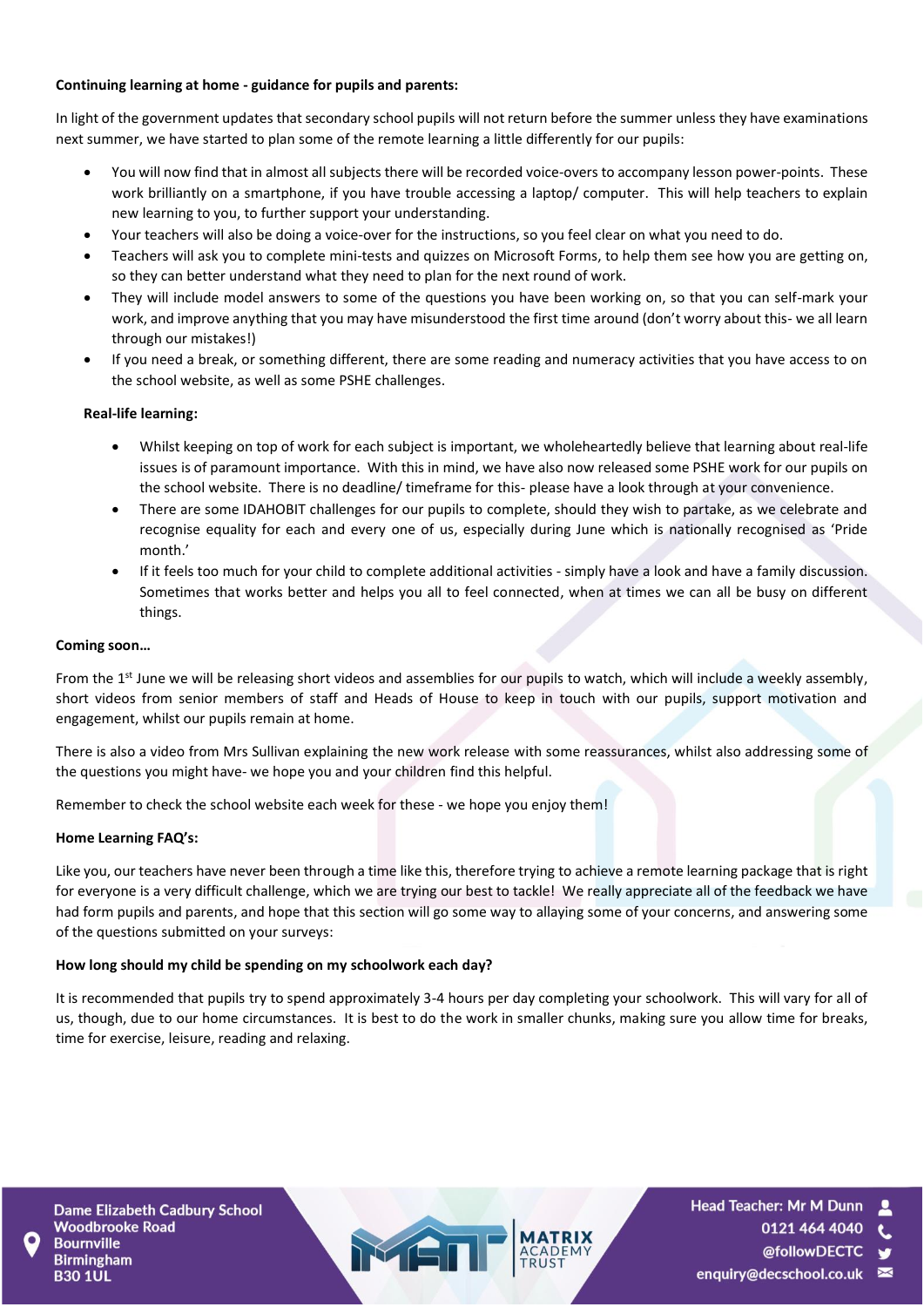#### **Continuing learning at home - guidance for pupils and parents:**

In light of the government updates that secondary school pupils will not return before the summer unless they have examinations next summer, we have started to plan some of the remote learning a little differently for our pupils:

- You will now find that in almost all subjects there will be recorded voice-overs to accompany lesson power-points. These work brilliantly on a smartphone, if you have trouble accessing a laptop/ computer. This will help teachers to explain new learning to you, to further support your understanding.
- Your teachers will also be doing a voice-over for the instructions, so you feel clear on what you need to do.
- Teachers will ask you to complete mini-tests and quizzes on Microsoft Forms, to help them see how you are getting on, so they can better understand what they need to plan for the next round of work.
- They will include model answers to some of the questions you have been working on, so that you can self-mark your work, and improve anything that you may have misunderstood the first time around (don't worry about this- we all learn through our mistakes!)
- If you need a break, or something different, there are some reading and numeracy activities that you have access to on the school website, as well as some PSHE challenges.

#### **Real-life learning:**

- Whilst keeping on top of work for each subject is important, we wholeheartedly believe that learning about real-life issues is of paramount importance. With this in mind, we have also now released some PSHE work for our pupils on the school website. There is no deadline/ timeframe for this- please have a look through at your convenience.
- There are some IDAHOBIT challenges for our pupils to complete, should they wish to partake, as we celebrate and recognise equality for each and every one of us, especially during June which is nationally recognised as 'Pride month.'
- If it feels too much for your child to complete additional activities simply have a look and have a family discussion. Sometimes that works better and helps you all to feel connected, when at times we can all be busy on different things.

#### **Coming soon…**

From the 1<sup>st</sup> June we will be releasing short videos and assemblies for our pupils to watch, which will include a weekly assembly, short videos from senior members of staff and Heads of House to keep in touch with our pupils, support motivation and engagement, whilst our pupils remain at home.

There is also a video from Mrs Sullivan explaining the new work release with some reassurances, whilst also addressing some of the questions you might have- we hope you and your children find this helpful.

Remember to check the school website each week for these - we hope you enjoy them!

#### **Home Learning FAQ's:**

Like you, our teachers have never been through a time like this, therefore trying to achieve a remote learning package that is right for everyone is a very difficult challenge, which we are trying our best to tackle! We really appreciate all of the feedback we have had form pupils and parents, and hope that this section will go some way to allaying some of your concerns, and answering some of the questions submitted on your surveys:

#### **How long should my child be spending on my schoolwork each day?**

It is recommended that pupils try to spend approximately 3-4 hours per day completing your schoolwork. This will vary for all of us, though, due to our home circumstances. It is best to do the work in smaller chunks, making sure you allow time for breaks, time for exercise, leisure, reading and relaxing.

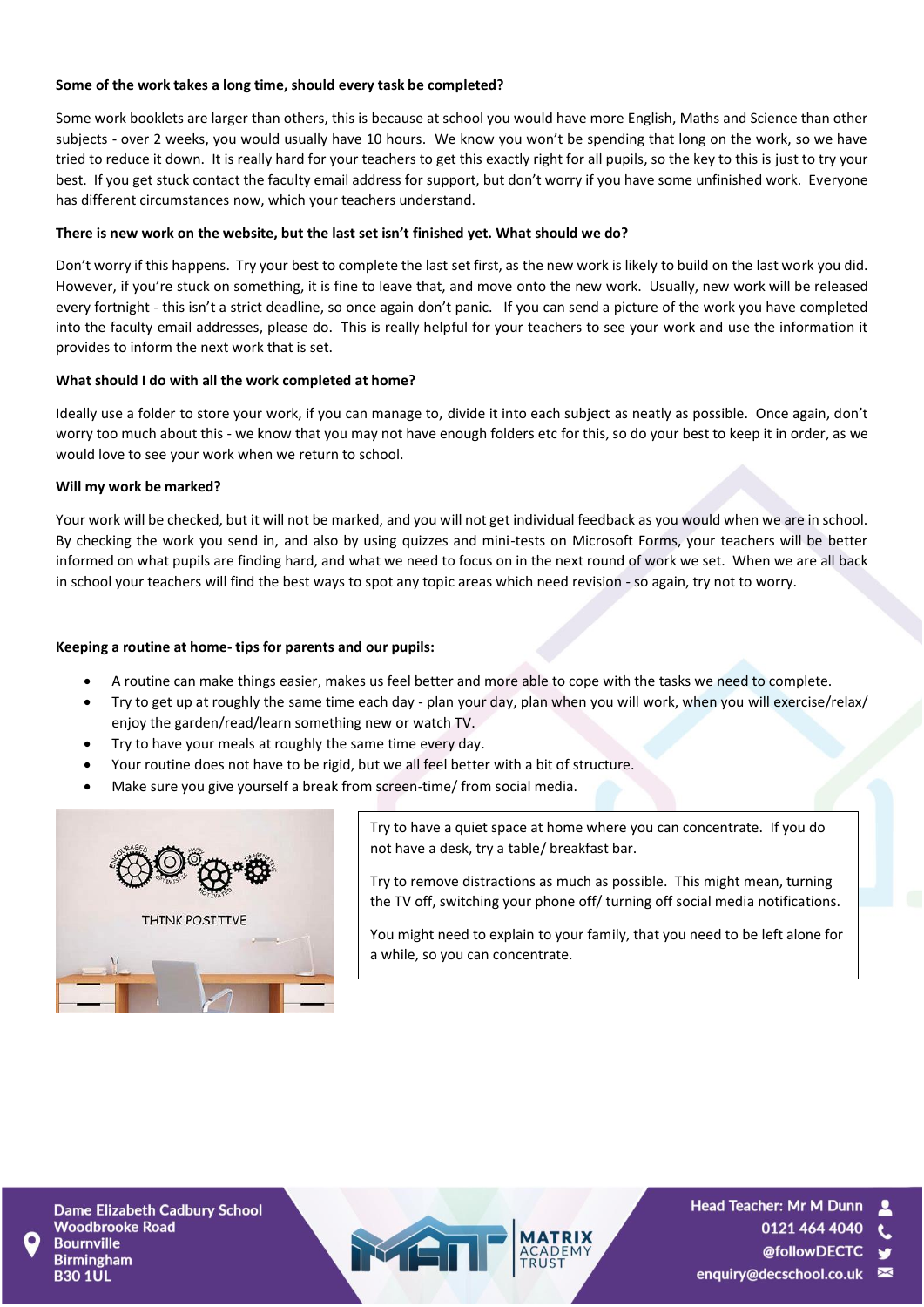#### **Some of the work takes a long time, should every task be completed?**

Some work booklets are larger than others, this is because at school you would have more English, Maths and Science than other subjects - over 2 weeks, you would usually have 10 hours. We know you won't be spending that long on the work, so we have tried to reduce it down. It is really hard for your teachers to get this exactly right for all pupils, so the key to this is just to try your best. If you get stuck contact the faculty email address for support, but don't worry if you have some unfinished work. Everyone has different circumstances now, which your teachers understand.

#### **There is new work on the website, but the last set isn't finished yet. What should we do?**

Don't worry if this happens. Try your best to complete the last set first, as the new work is likely to build on the last work you did. However, if you're stuck on something, it is fine to leave that, and move onto the new work. Usually, new work will be released every fortnight - this isn't a strict deadline, so once again don't panic. If you can send a picture of the work you have completed into the faculty email addresses, please do. This is really helpful for your teachers to see your work and use the information it provides to inform the next work that is set.

#### **What should I do with all the work completed at home?**

Ideally use a folder to store your work, if you can manage to, divide it into each subject as neatly as possible. Once again, don't worry too much about this - we know that you may not have enough folders etc for this, so do your best to keep it in order, as we would love to see your work when we return to school.

#### **Will my work be marked?**

Your work will be checked, but it will not be marked, and you will not get individual feedback as you would when we are in school. By checking the work you send in, and also by using quizzes and mini-tests on Microsoft Forms, your teachers will be better informed on what pupils are finding hard, and what we need to focus on in the next round of work we set. When we are all back in school your teachers will find the best ways to spot any topic areas which need revision - so again, try not to worry.

#### **Keeping a routine at home- tips for parents and our pupils:**

- A routine can make things easier, makes us feel better and more able to cope with the tasks we need to complete.
- Try to get up at roughly the same time each day plan your day, plan when you will work, when you will exercise/relax/ enjoy the garden/read/learn something new or watch TV.
- Try to have your meals at roughly the same time every day.
- Your routine does not have to be rigid, but we all feel better with a bit of structure.
- Make sure you give yourself a break from screen-time/ from social media.



Try to have a quiet space at home where you can concentrate. If you do not have a desk, try a table/ breakfast bar.

Try to remove distractions as much as possible. This might mean, turning the TV off, switching your phone off/ turning off social media notifications.

You might need to explain to your family, that you need to be left alone for a while, so you can concentrate.

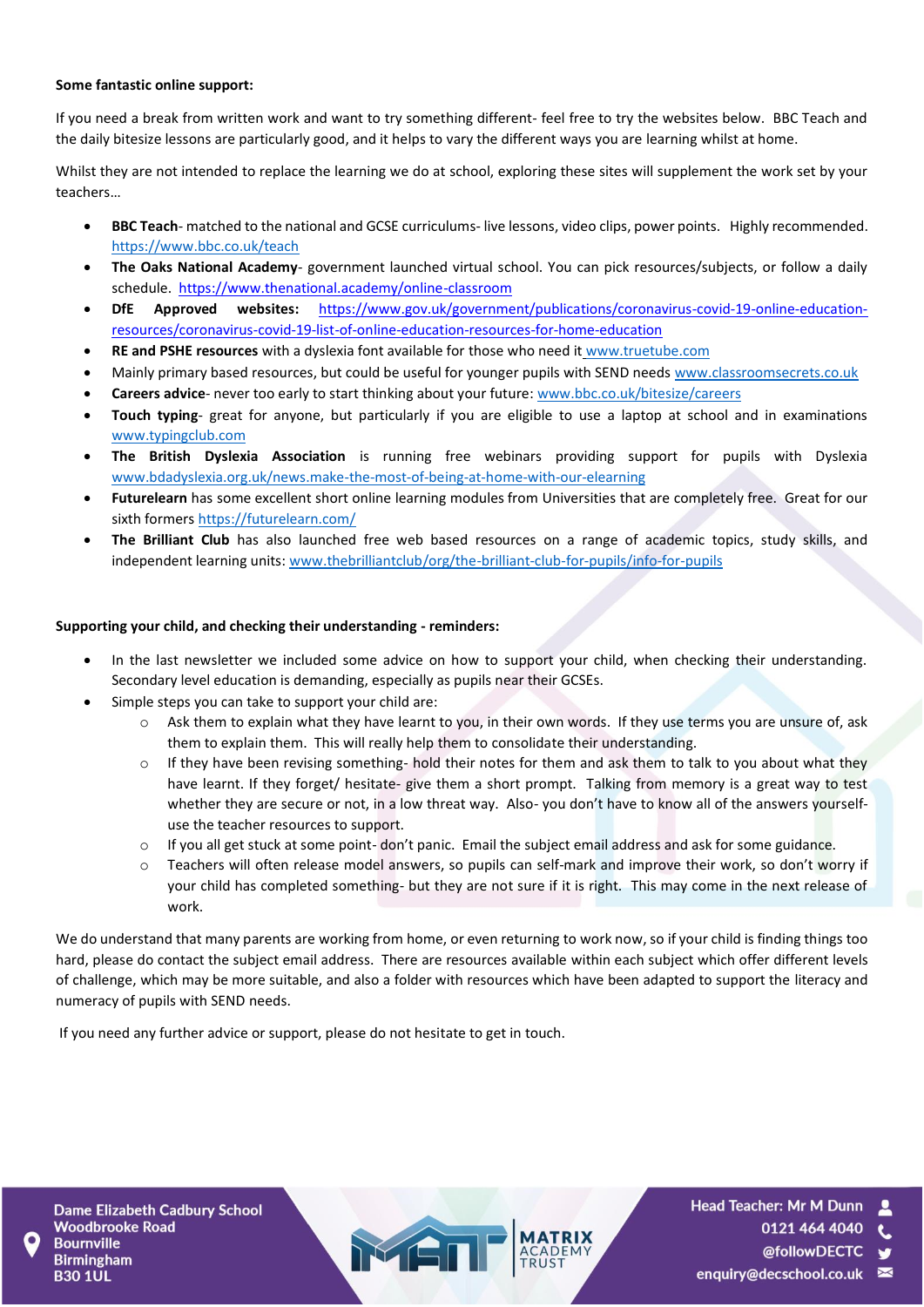#### **Some fantastic online support:**

If you need a break from written work and want to try something different- feel free to try the websites below. BBC Teach and the daily bitesize lessons are particularly good, and it helps to vary the different ways you are learning whilst at home.

Whilst they are not intended to replace the learning we do at school, exploring these sites will supplement the work set by your teachers…

- **BBC Teach** matched to the national and GCSE curriculums- live lessons, video clips, power points. Highly recommended. <https://www.bbc.co.uk/teach>
- **The Oaks National Academy** government launched virtual school. You can pick resources/subjects, or follow a daily schedule.<https://www.thenational.academy/online-classroom>
- **DfE Approved websites:** [https://www.gov.uk/government/publications/coronavirus-covid-19-online-education](https://www.gov.uk/government/publications/coronavirus-covid-19-online-education-resources/coronavirus-covid-19-list-of-online-education-resources-for-home-education)[resources/coronavirus-covid-19-list-of-online-education-resources-for-home-education](https://www.gov.uk/government/publications/coronavirus-covid-19-online-education-resources/coronavirus-covid-19-list-of-online-education-resources-for-home-education)
- **RE and PSHE resources** with a dyslexia font available for those who need it [www.truetube.com](http://www.truetube.com/)
- Mainly primary based resources, but could be useful for younger pupils with SEND need[s www.classroomsecrets.co.uk](http://www.classroomsecrets.co.uk/)
- **Careers advice** never too early to start thinking about your future[: www.bbc.co.uk/bitesize/careers](http://www.bbc.co.uk/bitesize/careers)
- **Touch typing** great for anyone, but particularly if you are eligible to use a laptop at school and in examinations [www.typingclub.com](http://www.typingclub.com/)
- **The British Dyslexia Association** is running free webinars providing support for pupils with Dyslexia [www.bdadyslexia.org.uk/news.make-the-most-of-being-at-home-with-our-elearning](http://www.bdadyslexia.org.uk/news.make-the-most-of-being-at-home-with-our-elearning)
- **Futurelearn** has some excellent short online learning modules from Universities that are completely free. Great for our sixth formers<https://futurelearn.com/>
- **The Brilliant Club** has also launched free web based resources on a range of academic topics, study skills, and independent learning units[: www.thebrilliantclub/org/the-brilliant-club-for-pupils/info-for-pupils](http://www.thebrilliantclub/org/the-brilliant-club-for-pupils/info-for-pupils)

#### **Supporting your child, and checking their understanding - reminders:**

- In the last newsletter we included some advice on how to support your child, when checking their understanding. Secondary level education is demanding, especially as pupils near their GCSEs.
- Simple steps you can take to support your child are:
	- o Ask them to explain what they have learnt to you, in their own words. If they use terms you are unsure of, ask them to explain them. This will really help them to consolidate their understanding.
	- $\circ$  If they have been revising something- hold their notes for them and ask them to talk to you about what they have learnt. If they forget/ hesitate- give them a short prompt. Talking from memory is a great way to test whether they are secure or not, in a low threat way. Also- you don't have to know all of the answers yourselfuse the teacher resources to support.
	- $\circ$  If you all get stuck at some point-don't panic. Email the subject email address and ask for some guidance.
	- Teachers will often release model answers, so pupils can self-mark and improve their work, so don't worry if your child has completed something- but they are not sure if it is right. This may come in the next release of work.

We do understand that many parents are working from home, or even returning to work now, so if your child is finding things too hard, please do contact the subject email address. There are resources available within each subject which offer different levels of challenge, which may be more suitable, and also a folder with resources which have been adapted to support the literacy and numeracy of pupils with SEND needs.

If you need any further advice or support, please do not hesitate to get in touch.

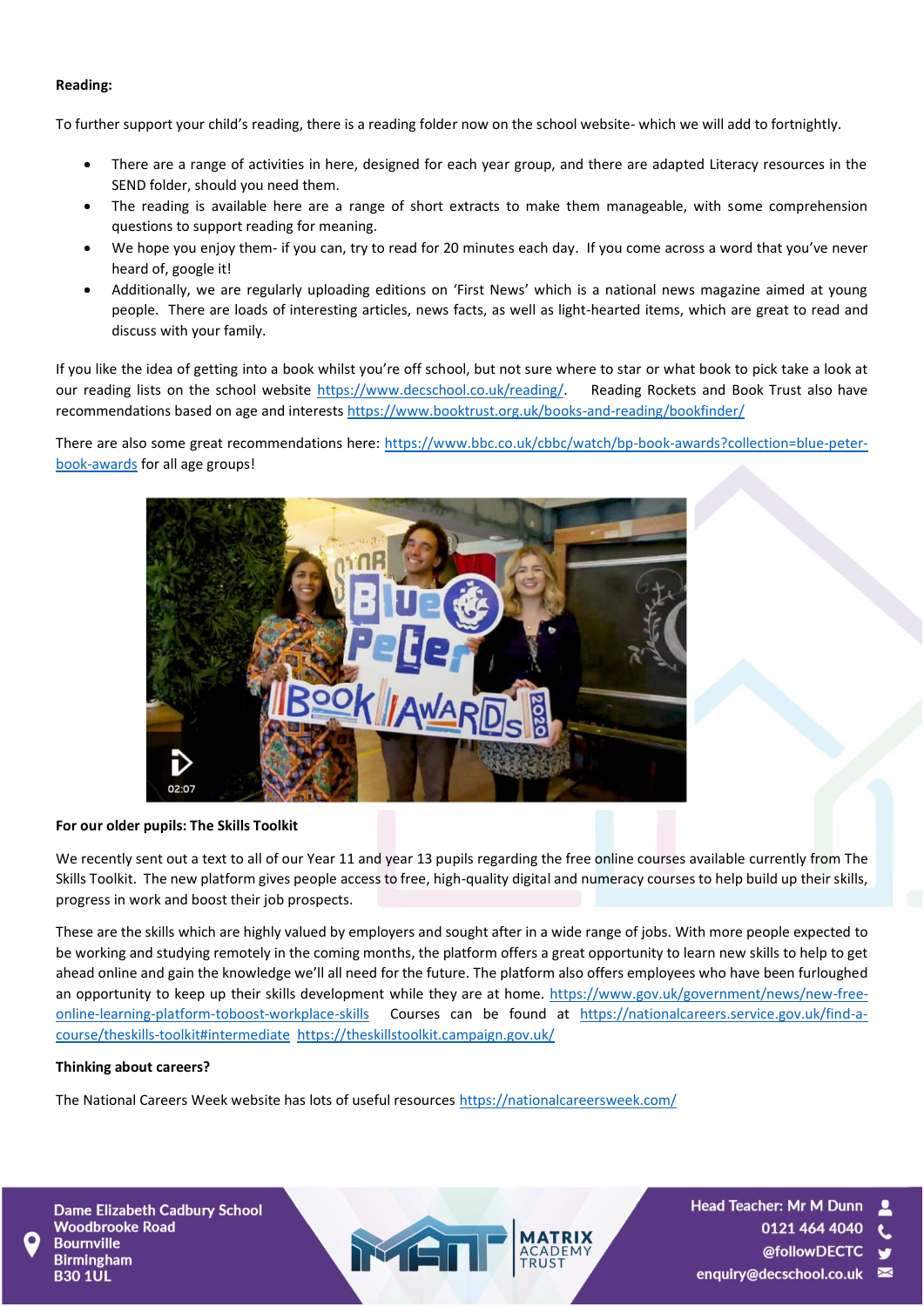#### **Reading:**

To further support your child's reading, there is a reading folder now on the school website- which we will add to fortnightly.

- There are a range of activities in here, designed for each year group, and there are adapted Literacy resources in the SEND folder, should you need them.
- The reading is available here are a range of short extracts to make them manageable, with some comprehension questions to support reading for meaning.
- We hope you enjoy them- if you can, try to read for 20 minutes each day. If you come across a word that you've never heard of, google it!
- Additionally, we are regularly uploading editions on 'First News' which is a national news magazine aimed at young people. There are loads of interesting articles, news facts, as well as light-hearted items, which are great to read and discuss with your family.

If you like the idea of getting into a book whilst you're off school, but not sure where to star or what book to pick take a look at our reading lists on the school website [https://www.decschool.co.uk/reading/.](https://www.decschool.co.uk/reading/) Reading Rockets and Book Trust also have recommendations based on age and interests <https://www.booktrust.org.uk/books-and-reading/bookfinder/>

There are also some great recommendations here: [https://www.bbc.co.uk/cbbc/watch/bp-book-awards?collection=blue-peter](https://www.bbc.co.uk/cbbc/watch/bp-book-awards?collection=blue-peter-book-awards)[book-awards](https://www.bbc.co.uk/cbbc/watch/bp-book-awards?collection=blue-peter-book-awards) for all age groups!



#### **For our older pupils: The Skills Toolkit**

We recently sent out a text to all of our Year 11 and year 13 pupils regarding the free online courses available currently from The Skills Toolkit. The new platform gives people access to free, high-quality digital and numeracy courses to help build up their skills, progress in work and boost their job prospects.

These are the skills which are highly valued by employers and sought after in a wide range of jobs. With more people expected to be working and studying remotely in the coming months, the platform offers a great opportunity to learn new skills to help to get ahead online and gain the knowledge we'll all need for the future. The platform also offers employees who have been furloughed an opportunity to keep up their skills development while they are at home. [https://www.gov.uk/government/news/new-free](https://www.gov.uk/government/news/new-free-online-learning-platform-toboost-workplace-skills)[online-learning-platform-toboost-workplace-skills](https://www.gov.uk/government/news/new-free-online-learning-platform-toboost-workplace-skills) Courses can be found at [https://nationalcareers.service.gov.uk/find-a](https://nationalcareers.service.gov.uk/find-a-course/theskills-toolkit#intermediate)[course/theskills-toolkit#intermediate](https://nationalcareers.service.gov.uk/find-a-course/theskills-toolkit#intermediate) <https://theskillstoolkit.campaign.gov.uk/>

#### **Thinking about careers?**

The National Careers Week website has lots of useful resources<https://nationalcareersweek.com/>

**Dame Elizabeth Cadbury School Woodbrooke Road Bournville Birmingham B30 1UL** 

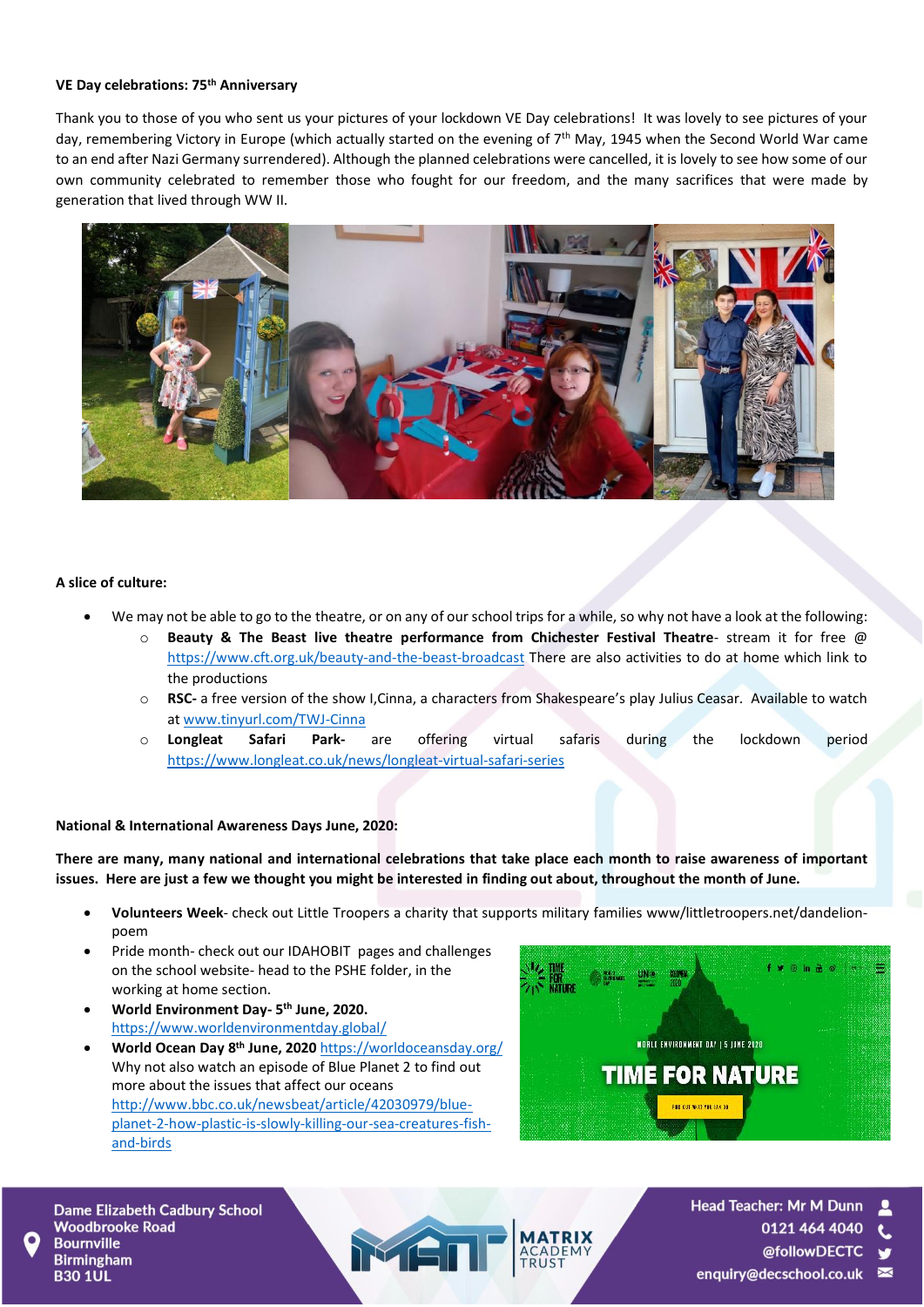#### **VE Day celebrations: 75th Anniversary**

Thank you to those of you who sent us your pictures of your lockdown VE Day celebrations! It was lovely to see pictures of your day, remembering Victory in Europe (which actually started on the evening of 7<sup>th</sup> May, 1945 when the Second World War came to an end after Nazi Germany surrendered). Although the planned celebrations were cancelled, it is lovely to see how some of our own community celebrated to remember those who fought for our freedom, and the many sacrifices that were made by generation that lived through WW II.



#### **A slice of culture:**

- We may not be able to go to the theatre, or on any of our school trips for a while, so why not have a look at the following:
	- o **Beauty & The Beast live theatre performance from Chichester Festival Theatre** stream it for free @ <https://www.cft.org.uk/beauty-and-the-beast-broadcast> There are also activities to do at home which link to the productions
	- o **RSC-** a free version of the show I,Cinna, a characters from Shakespeare's play Julius Ceasar. Available to watch a[t www.tinyurl.com/TWJ-Cinna](http://www.tinyurl.com/TWJ-Cinna)
	- o **Longleat Safari Park-** are offering virtual safaris during the lockdown period <https://www.longleat.co.uk/news/longleat-virtual-safari-series>

#### **National & International Awareness Days June, 2020:**

**There are many, many national and international celebrations that take place each month to raise awareness of important issues. Here are just a few we thought you might be interested in finding out about, throughout the month of June.** 

- **Volunteers Week** check out Little Troopers a charity that supports military families www/littletroopers.net/dandelionpoem
- Pride month- check out our IDAHOBIT pages and challenges on the school website- head to the PSHE folder, in the working at home section.
- **World Environment Day- 5 th June, 2020.**  <https://www.worldenvironmentday.global/>
- **World Ocean Day 8 th June, 2020** <https://worldoceansday.org/> Why not also watch an episode of Blue Planet 2 to find out more about the issues that affect our oceans [http://www.bbc.co.uk/newsbeat/article/42030979/blue](http://www.bbc.co.uk/newsbeat/article/42030979/blue-planet-2-how-plastic-is-slowly-killing-our-sea-creatures-fish-and-birds)[planet-2-how-plastic-is-slowly-killing-our-sea-creatures-fish](http://www.bbc.co.uk/newsbeat/article/42030979/blue-planet-2-how-plastic-is-slowly-killing-our-sea-creatures-fish-and-birds)[and-birds](http://www.bbc.co.uk/newsbeat/article/42030979/blue-planet-2-how-plastic-is-slowly-killing-our-sea-creatures-fish-and-birds)





**Head Teacher: Mr M Dunn** 0121 464 4040

- @followDECTC
- enquiry@decschool.co.uk ≥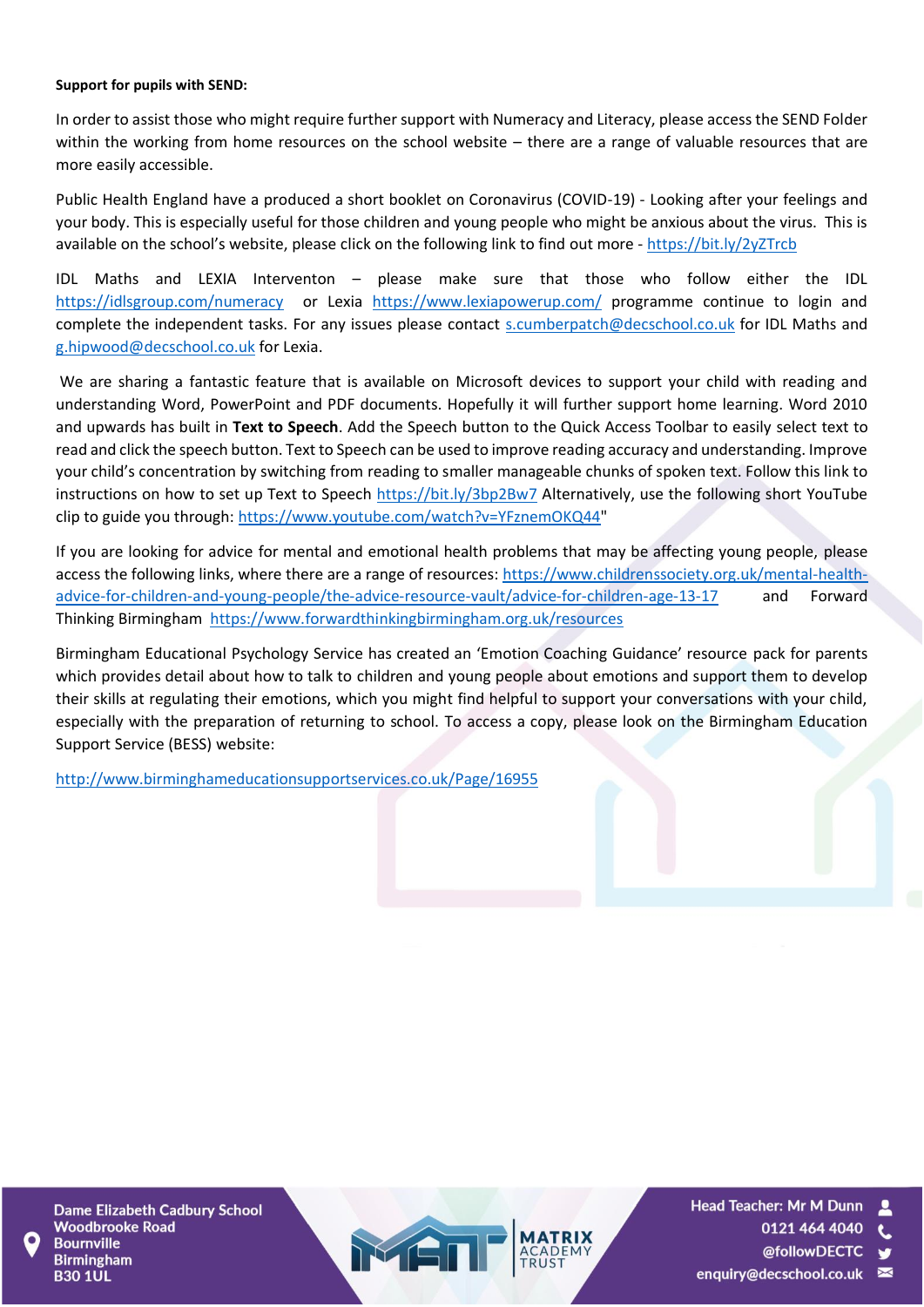#### **Support for pupils with SEND:**

In order to assist those who might require further support with Numeracy and Literacy, please access the SEND Folder within the working from home resources on the school website – there are a range of valuable resources that are more easily accessible.

Public Health England have a produced a short booklet on Coronavirus (COVID-19) - Looking after your feelings and your body. This is especially useful for those children and young people who might be anxious about the virus. This is available on the school's website, please click on the following link to find out more - <https://bit.ly/2yZTrcb>

IDL Maths and LEXIA Interventon – please make sure that those who follow either the IDL <https://idlsgroup.com/numeracy>or Lexia <https://www.lexiapowerup.com/> programme continue to login and complete the independent tasks. For any issues please contact [s.cumberpatch@decschool.co.uk](mailto:s.cumberpatch@decschool.co.uk) for IDL Maths and [g.hipwood@decschool.co.uk](mailto:g.hipwood@decschool.co.uk) for Lexia.

We are sharing a fantastic feature that is available on Microsoft devices to support your child with reading and understanding Word, PowerPoint and PDF documents. Hopefully it will further support home learning. Word 2010 and upwards has built in **Text to Speech**. Add the Speech button to the Quick Access Toolbar to easily select text to read and click the speech button. Text to Speech can be used to improve reading accuracy and understanding. Improve your child's concentration by switching from reading to smaller manageable chunks of spoken text. Follow this link to instructions on how to set up Text to Speech<https://bit.ly/3bp2Bw7> Alternatively, use the following short YouTube clip to guide you through: [https://www.youtube.com/watch?v=YFznemOKQ44"](https://www.youtube.com/watch?v=YFznemOKQ44)

If you are looking for advice for mental and emotional health problems that may be affecting young people, please access the following links, where there are a range of resources: [https://www.childrenssociety.org.uk/mental-health](https://www.childrenssociety.org.uk/mental-health-advice-for-children-and-young-people/the-advice-resource-vault/advice-for-children-age-13-17)[advice-for-children-and-young-people/the-advice-resource-vault/advice-for-children-age-13-17](https://www.childrenssociety.org.uk/mental-health-advice-for-children-and-young-people/the-advice-resource-vault/advice-for-children-age-13-17) and Forward Thinking Birmingham <https://www.forwardthinkingbirmingham.org.uk/resources>

Birmingham Educational Psychology Service has created an 'Emotion Coaching Guidance' resource pack for parents which provides detail about how to talk to children and young people about emotions and support them to develop their skills at regulating their emotions, which you might find helpful to support your conversations with your child, especially with the preparation of returning to school. To access a copy, please look on the Birmingham Education Support Service (BESS) website:

<http://www.birminghameducationsupportservices.co.uk/Page/16955>